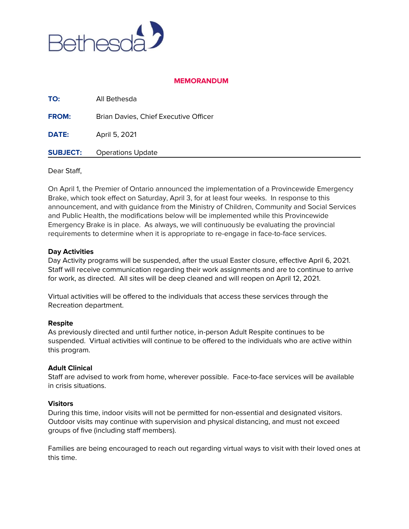

# **MEMORANDUM**

| DATE:        | April 5, 2021                         |
|--------------|---------------------------------------|
| <b>FROM:</b> | Brian Davies, Chief Executive Officer |
| TO:          | All Bethesda                          |

#### Dear Staff,

On April 1, the Premier of Ontario announced the implementation of a Provincewide Emergency Brake, which took effect on Saturday, April 3, for at least four weeks. In response to this announcement, and with guidance from the Ministry of Children, Community and Social Services and Public Health, the modifications below will be implemented while this Provincewide Emergency Brake is in place. As always, we will continuously be evaluating the provincial requirements to determine when it is appropriate to re-engage in face-to-face services.

#### **Day Activities**

Day Activity programs will be suspended, after the usual Easter closure, effective April 6, 2021. Staff will receive communication regarding their work assignments and are to continue to arrive for work, as directed. All sites will be deep cleaned and will reopen on April 12, 2021.

Virtual activities will be offered to the individuals that access these services through the Recreation department.

## **Respite**

As previously directed and until further notice, in-person Adult Respite continues to be suspended. Virtual activities will continue to be offered to the individuals who are active within this program.

## **Adult Clinical**

Staff are advised to work from home, wherever possible. Face-to-face services will be available in crisis situations.

#### **Visitors**

During this time, indoor visits will not be permitted for non-essential and designated visitors. Outdoor visits may continue with supervision and physical distancing, and must not exceed groups of five (including staff members).

Families are being encouraged to reach out regarding virtual ways to visit with their loved ones at this time.